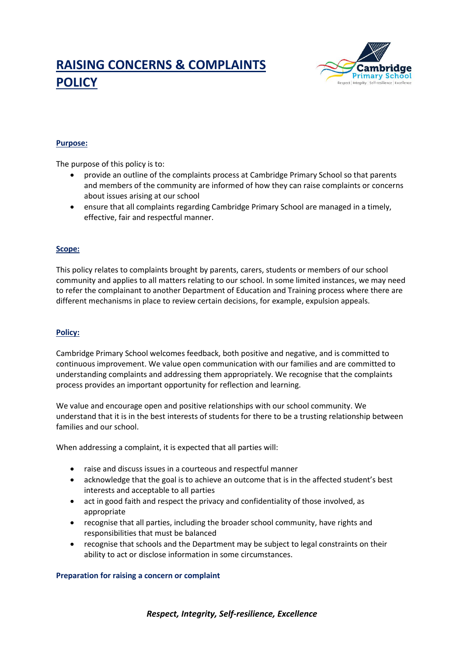# **RAISING CONCERNS & COMPLAINTS POLICY**



# **Purpose:**

The purpose of this policy is to:

- provide an outline of the complaints process at Cambridge Primary School so that parents and members of the community are informed of how they can raise complaints or concerns about issues arising at our school
- ensure that all complaints regarding Cambridge Primary School are managed in a timely, effective, fair and respectful manner.

#### **Scope:**

This policy relates to complaints brought by parents, carers, students or members of our school community and applies to all matters relating to our school. In some limited instances, we may need to refer the complainant to another Department of Education and Training process where there are different mechanisms in place to review certain decisions, for example, expulsion appeals.

## **Policy:**

Cambridge Primary School welcomes feedback, both positive and negative, and is committed to continuous improvement. We value open communication with our families and are committed to understanding complaints and addressing them appropriately. We recognise that the complaints process provides an important opportunity for reflection and learning.

We value and encourage open and positive relationships with our school community. We understand that it is in the best interests of students for there to be a trusting relationship between families and our school.

When addressing a complaint, it is expected that all parties will:

- raise and discuss issues in a courteous and respectful manner
- acknowledge that the goal is to achieve an outcome that is in the affected student's best interests and acceptable to all parties
- act in good faith and respect the privacy and confidentiality of those involved, as appropriate
- recognise that all parties, including the broader school community, have rights and responsibilities that must be balanced
- recognise that schools and the Department may be subject to legal constraints on their ability to act or disclose information in some circumstances.

#### **Preparation for raising a concern or complaint**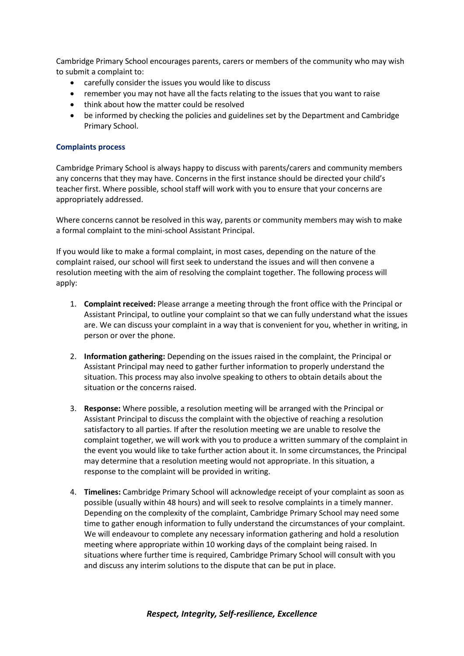Cambridge Primary School encourages parents, carers or members of the community who may wish to submit a complaint to:

- carefully consider the issues you would like to discuss
- remember you may not have all the facts relating to the issues that you want to raise
- think about how the matter could be resolved
- be informed by checking the policies and guidelines set by the Department and Cambridge Primary School.

#### **Complaints process**

Cambridge Primary School is always happy to discuss with parents/carers and community members any concerns that they may have. Concerns in the first instance should be directed your child's teacher first. Where possible, school staff will work with you to ensure that your concerns are appropriately addressed.

Where concerns cannot be resolved in this way, parents or community members may wish to make a formal complaint to the mini-school Assistant Principal.

If you would like to make a formal complaint, in most cases, depending on the nature of the complaint raised, our school will first seek to understand the issues and will then convene a resolution meeting with the aim of resolving the complaint together. The following process will apply:

- 1. **Complaint received:** Please arrange a meeting through the front office with the Principal or Assistant Principal, to outline your complaint so that we can fully understand what the issues are. We can discuss your complaint in a way that is convenient for you, whether in writing, in person or over the phone.
- 2. **Information gathering:** Depending on the issues raised in the complaint, the Principal or Assistant Principal may need to gather further information to properly understand the situation. This process may also involve speaking to others to obtain details about the situation or the concerns raised.
- 3. **Response:** Where possible, a resolution meeting will be arranged with the Principal or Assistant Principal to discuss the complaint with the objective of reaching a resolution satisfactory to all parties. If after the resolution meeting we are unable to resolve the complaint together, we will work with you to produce a written summary of the complaint in the event you would like to take further action about it. In some circumstances, the Principal may determine that a resolution meeting would not appropriate. In this situation, a response to the complaint will be provided in writing.
- 4. **Timelines:** Cambridge Primary School will acknowledge receipt of your complaint as soon as possible (usually within 48 hours) and will seek to resolve complaints in a timely manner. Depending on the complexity of the complaint, Cambridge Primary School may need some time to gather enough information to fully understand the circumstances of your complaint. We will endeavour to complete any necessary information gathering and hold a resolution meeting where appropriate within 10 working days of the complaint being raised. In situations where further time is required, Cambridge Primary School will consult with you and discuss any interim solutions to the dispute that can be put in place.